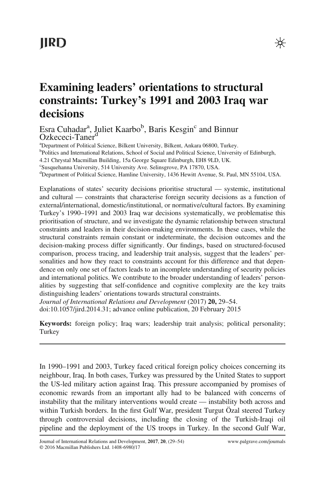# **IIRD**

## Examining leaders' orientations to structural constraints: Turkey's 1991 and 2003 Iraq war decisions

Esra Cuhadar<sup>a</sup>, Juliet Kaarbo<sup>b</sup>, Baris Kesgin<sup>c</sup> and Binnur Ozkececi-Taner<sup>d</sup>

a Department of Political Science, Bilkent University, Bilkent, Ankara 06800, Turkey.

b Politics and International Relations, School of Social and Political Science, University of Edinburgh,

4.21 Chrystal Macmillan Building, 15a George Square Edinburgh, EH8 9LD, UK.

c Susquehanna University, 514 University Ave. Selinsgrove, PA 17870, USA.

<sup>d</sup>Department of Political Science, Hamline University, 1436 Hewitt Avenue, St. Paul, MN 55104, USA.

Explanations of states' security decisions prioritise structural — systemic, institutional and cultural — constraints that characterise foreign security decisions as a function of external/international, domestic/institutional, or normative/cultural factors. By examining Turkey's 1990–1991 and 2003 Iraq war decisions systematically, we problematise this prioritisation of structure, and we investigate the dynamic relationship between structural constraints and leaders in their decision-making environments. In these cases, while the structural constraints remain constant or indeterminate, the decision outcomes and the decision-making process differ significantly. Our findings, based on structured-focused comparison, process tracing, and leadership trait analysis, suggest that the leaders' personalities and how they react to constraints account for this difference and that dependence on only one set of factors leads to an incomplete understanding of security policies and international politics. We contribute to the broader understanding of leaders' personalities by suggesting that self-confidence and cognitive complexity are the key traits distinguishing leaders' orientations towards structural constraints.

*Journal of International Relations and Development* (2017) **20,** 29–54. doi:10.1057/jird.2014.31; advance online publication, 20 February 2015

Keywords: foreign policy; Iraq wars; leadership trait analysis; political personality; Turkey

In 1990–1991 and 2003, Turkey faced critical foreign policy choices concerning its neighbour, Iraq. In both cases, Turkey was pressured by the United States to support the US-led military action against Iraq. This pressure accompanied by promises of economic rewards from an important ally had to be balanced with concerns of instability that the military interventions would create — instability both across and within Turkish borders. In the first Gulf War, president Turgut Özal steered Turkey through controversial decisions, including the closing of the Turkish-Iraqi oil pipeline and the deployment of the US troops in Turkey. In the second Gulf War,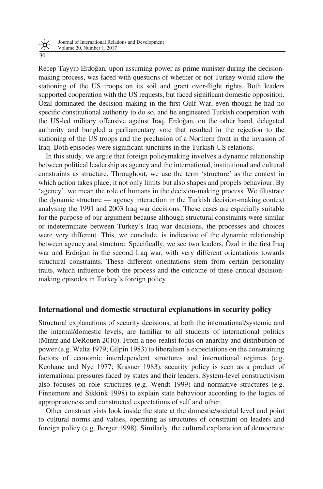Recep Tayyip Erdoğan, upon assuming power as prime minister during the decisionmaking process, was faced with questions of whether or not Turkey would allow the stationing of the US troops on its soil and grant over-flight rights. Both leaders supported cooperation with the US requests, but faced significant domestic opposition. Özal dominated the decision making in the first Gulf War, even though he had no specific constitutional authority to do so, and he engineered Turkish cooperation with the US-led military offensive against Iraq. Erdoğan, on the other hand, delegated authority and bungled a parliamentary vote that resulted in the rejection to the stationing of the US troops and the preclusion of a Northern front in the invasion of Iraq. Both episodes were significant junctures in the Turkish-US relations.

In this study, we argue that foreign policymaking involves a dynamic relationship between political leadership as agency and the international, institutional and cultural constraints as structure. Throughout, we use the term 'structure' as the context in which action takes place; it not only limits but also shapes and propels behaviour. By 'agency', we mean the role of humans in the decision-making process. We illustrate the dynamic structure — agency interaction in the Turkish decision-making context analysing the 1991 and 2003 Iraq war decisions. These cases are especially suitable for the purpose of our argument because although structural constraints were similar or indeterminate between Turkey's Iraq war decisions, the processes and choices were very different. This, we conclude, is indicative of the dynamic relationship between agency and structure. Specifically, we see two leaders, Özal in the first Iraq war and Erdoğan in the second Iraq war, with very different orientations towards structural constraints. These different orientations stem from certain personality traits, which influence both the process and the outcome of these critical decisionmaking episodes in Turkey's foreign policy.

## International and domestic structural explanations in security policy

Structural explanations of security decisions, at both the international/systemic and the internal/domestic levels, are familiar to all students of international politics (Mintz and DeRouen 2010). From a neo-realist focus on anarchy and distribution of power (e.g. Waltz 1979; Gilpin 1983) to liberalism's expectations on the constraining factors of economic interdependent structures and international regimes (e.g. Keohane and Nye 1977; Krasner 1983), security policy is seen as a product of international pressures faced by states and their leaders. System-level constructivism also focuses on role structures (e.g. Wendt 1999) and normative structures (e.g. Finnemore and Sikkink 1998) to explain state behaviour according to the logics of appropriateness and constructed expectations of self and other.

Other constructivists look inside the state at the domestic/societal level and point to cultural norms and values, operating as structures of constraint on leaders and foreign policy (e.g. Berger 1998). Similarly, the cultural explanation of democratic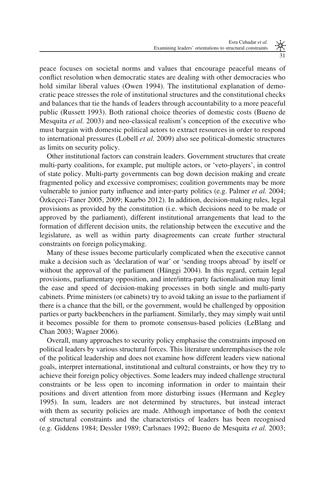peace focuses on societal norms and values that encourage peaceful means of conflict resolution when democratic states are dealing with other democracies who hold similar liberal values (Owen 1994). The institutional explanation of democratic peace stresses the role of institutional structures and the constitutional checks and balances that tie the hands of leaders through accountability to a more peaceful public (Russett 1993). Both rational choice theories of domestic costs (Bueno de Mesquita *et al.* 2003) and neo-classical realism's conception of the executive who must bargain with domestic political actors to extract resources in order to respond to international pressures (Lobell et al. 2009) also see political-domestic structures as limits on security policy.

Other institutional factors can constrain leaders. Government structures that create multi-party coalitions, for example, put multiple actors, or 'veto-players', in control of state policy. Multi-party governments can bog down decision making and create fragmented policy and excessive compromises; coalition governments may be more vulnerable to junior party influence and inter-party politics (e.g. Palmer et al. 2004; Özkeçeci-Taner 2005, 2009; Kaarbo 2012). In addition, decision-making rules, legal provisions as provided by the constitution (i.e. which decisions need to be made or approved by the parliament), different institutional arrangements that lead to the formation of different decision units, the relationship between the executive and the legislature, as well as within party disagreements can create further structural constraints on foreign policymaking.

Many of these issues become particularly complicated when the executive cannot make a decision such as 'declaration of war' or 'sending troops abroad' by itself or without the approval of the parliament (Hänggi 2004). In this regard, certain legal provisions, parliamentary opposition, and inter/intra-party factionalisation may limit the ease and speed of decision-making processes in both single and multi-party cabinets. Prime ministers (or cabinets) try to avoid taking an issue to the parliament if there is a chance that the bill, or the government, would be challenged by opposition parties or party backbenchers in the parliament. Similarly, they may simply wait until it becomes possible for them to promote consensus-based policies (LeBlang and Chan 2003; Wagner 2006).

Overall, many approaches to security policy emphasise the constraints imposed on political leaders by various structural forces. This literature underemphasises the role of the political leadership and does not examine how different leaders view national goals, interpret international, institutional and cultural constraints, or how they try to achieve their foreign policy objectives. Some leaders may indeed challenge structural constraints or be less open to incoming information in order to maintain their positions and divert attention from more disturbing issues (Hermann and Kegley 1995). In sum, leaders are not determined by structures, but instead interact with them as security policies are made. Although importance of both the context of structural constraints and the characteristics of leaders has been recognised (e.g. Giddens 1984; Dessler 1989; Carlsnaes 1992; Bueno de Mesquita et al. 2003;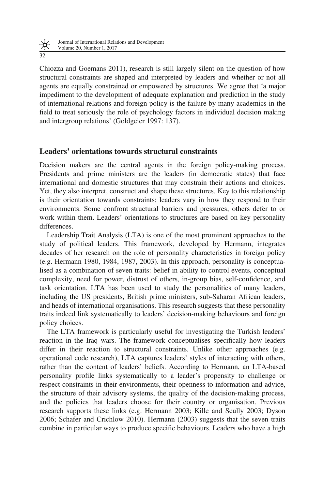

Chiozza and Goemans 2011), research is still largely silent on the question of how structural constraints are shaped and interpreted by leaders and whether or not all agents are equally constrained or empowered by structures. We agree that 'a major impediment to the development of adequate explanation and prediction in the study of international relations and foreign policy is the failure by many academics in the field to treat seriously the role of psychology factors in individual decision making and intergroup relations' (Goldgeier 1997: 137).

## Leaders' orientations towards structural constraints

Decision makers are the central agents in the foreign policy-making process. Presidents and prime ministers are the leaders (in democratic states) that face international and domestic structures that may constrain their actions and choices. Yet, they also interpret, construct and shape these structures. Key to this relationship is their orientation towards constraints: leaders vary in how they respond to their environments. Some confront structural barriers and pressures; others defer to or work within them. Leaders' orientations to structures are based on key personality differences.

Leadership Trait Analysis (LTA) is one of the most prominent approaches to the study of political leaders. This framework, developed by Hermann, integrates decades of her research on the role of personality characteristics in foreign policy (e.g. Hermann 1980, 1984, 1987, 2003). In this approach, personality is conceptualised as a combination of seven traits: belief in ability to control events, conceptual complexity, need for power, distrust of others, in-group bias, self-confidence, and task orientation. LTA has been used to study the personalities of many leaders, including the US presidents, British prime ministers, sub-Saharan African leaders, and heads of international organisations. This research suggests that these personality traits indeed link systematically to leaders' decision-making behaviours and foreign policy choices.

The LTA framework is particularly useful for investigating the Turkish leaders' reaction in the Iraq wars. The framework conceptualises specifically how leaders differ in their reaction to structural constraints. Unlike other approaches (e.g. operational code research), LTA captures leaders' styles of interacting with others, rather than the content of leaders' beliefs. According to Hermann, an LTA-based personality profile links systematically to a leader's propensity to challenge or respect constraints in their environments, their openness to information and advice, the structure of their advisory systems, the quality of the decision-making process, and the policies that leaders choose for their country or organisation. Previous research supports these links (e.g. Hermann 2003; Kille and Scully 2003; Dyson 2006; Schafer and Crichlow 2010). Hermann (2003) suggests that the seven traits combine in particular ways to produce specific behaviours. Leaders who have a high

米  $\overline{32}$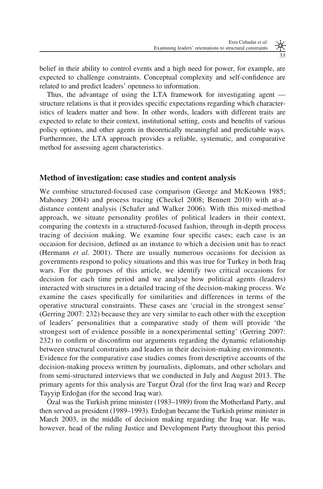belief in their ability to control events and a high need for power, for example, are expected to challenge constraints. Conceptual complexity and self-confidence are related to and predict leaders' openness to information.

Thus, the advantage of using the LTA framework for investigating agent structure relations is that it provides specific expectations regarding which characteristics of leaders matter and how. In other words, leaders with different traits are expected to relate to their context, institutional setting, costs and benefits of various policy options, and other agents in theoretically meaningful and predictable ways. Furthermore, the LTA approach provides a reliable, systematic, and comparative method for assessing agent characteristics.

## Method of investigation: case studies and content analysis

We combine structured-focused case comparison (George and McKeown 1985; Mahoney 2004) and process tracing (Checkel 2008; Bennett 2010) with at-adistance content analysis (Schafer and Walker 2006). With this mixed-method approach, we situate personality profiles of political leaders in their context, comparing the contexts in a structured-focused fashion, through in-depth process tracing of decision making. We examine four specific cases; each case is an occasion for decision, defined as an instance to which a decision unit has to react (Hermann et al. 2001). There are usually numerous occasions for decision as governments respond to policy situations and this was true for Turkey in both Iraq wars. For the purposes of this article, we identify two critical occasions for decision for each time period and we analyse how political agents (leaders) interacted with structures in a detailed tracing of the decision-making process. We examine the cases specifically for similarities and differences in terms of the operative structural constraints. These cases are 'crucial in the strongest sense' (Gerring 2007: 232) because they are very similar to each other with the exception of leaders' personalities that a comparative study of them will provide 'the strongest sort of evidence possible in a nonexperimental setting' (Gerring 2007: 232) to confirm or disconfirm our arguments regarding the dynamic relationship between structural constraints and leaders in their decision-making environments. Evidence for the comparative case studies comes from descriptive accounts of the decision-making process written by journalists, diplomats, and other scholars and from semi-structured interviews that we conducted in July and August 2013. The primary agents for this analysis are Turgut Özal (for the first Iraq war) and Recep Tayyip Erdoğan (for the second Iraq war).

Özal was the Turkish prime minister (1983–1989) from the Motherland Party, and then served as president (1989–1993). Erdoğan became the Turkish prime minister in March 2003, in the middle of decision making regarding the Iraq war. He was, however, head of the ruling Justice and Development Party throughout this period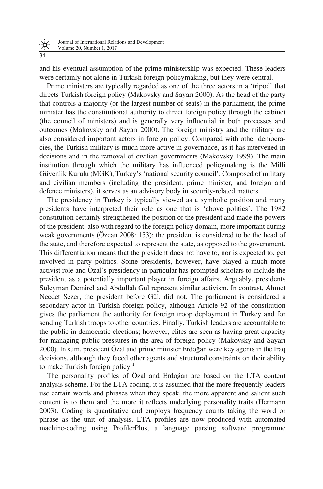and his eventual assumption of the prime ministership was expected. These leaders were certainly not alone in Turkish foreign policymaking, but they were central.

Prime ministers are typically regarded as one of the three actors in a 'tripod' that directs Turkish foreign policy (Makovsky and Sayarı 2000). As the head of the party that controls a majority (or the largest number of seats) in the parliament, the prime minister has the constitutional authority to direct foreign policy through the cabinet (the council of ministers) and is generally very influential in both processes and outcomes (Makovsky and Sayarı 2000). The foreign ministry and the military are also considered important actors in foreign policy. Compared with other democracies, the Turkish military is much more active in governance, as it has intervened in decisions and in the removal of civilian governments (Makovsky 1999). The main institution through which the military has influenced policymaking is the Milli Güvenlik Kurulu (MGK), Turkey's 'national security council'. Composed of military and civilian members (including the president, prime minister, and foreign and defence ministers), it serves as an advisory body in security-related matters.

The presidency in Turkey is typically viewed as a symbolic position and many presidents have interpreted their role as one that is 'above politics'. The 1982 constitution certainly strengthened the position of the president and made the powers of the president, also with regard to the foreign policy domain, more important during weak governments (Özcan 2008: 153); the president is considered to be the head of the state, and therefore expected to represent the state, as opposed to the government. This differentiation means that the president does not have to, nor is expected to, get involved in party politics. Some presidents, however, have played a much more activist role and Özal's presidency in particular has prompted scholars to include the president as a potentially important player in foreign affairs. Arguably, presidents Süleyman Demirel and Abdullah Gül represent similar activism. In contrast, Ahmet Necdet Sezer, the president before Gül, did not. The parliament is considered a secondary actor in Turkish foreign policy, although Article 92 of the constitution gives the parliament the authority for foreign troop deployment in Turkey and for sending Turkish troops to other countries. Finally, Turkish leaders are accountable to the public in democratic elections; however, elites are seen as having great capacity for managing public pressures in the area of foreign policy (Makovsky and Sayarı 2000). In sum, president Özal and prime minister Erdoğan were key agents in the Iraq decisions, although they faced other agents and structural constraints on their ability to make Turkish foreign policy.<sup>1</sup>

The personality profiles of Özal and Erdoğan are based on the LTA content analysis scheme. For the LTA coding, it is assumed that the more frequently leaders use certain words and phrases when they speak, the more apparent and salient such content is to them and the more it reflects underlying personality traits (Hermann 2003). Coding is quantitative and employs frequency counts taking the word or phrase as the unit of analysis. LTA profiles are now produced with automated machine-coding using ProfilerPlus, a language parsing software programme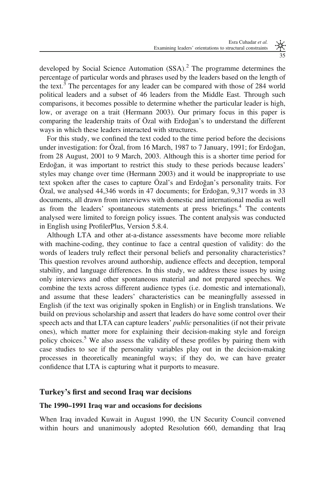developed by Social Science Automation (SSA).<sup>2</sup> The programme determines the percentage of particular words and phrases used by the leaders based on the length of the text.<sup>3</sup> The percentages for any leader can be compared with those of 284 world political leaders and a subset of 46 leaders from the Middle East. Through such comparisons, it becomes possible to determine whether the particular leader is high, low, or average on a trait (Hermann 2003). Our primary focus in this paper is comparing the leadership traits of Özal with Erdoğan's to understand the different ways in which these leaders interacted with structures.

For this study, we confined the text coded to the time period before the decisions under investigation: for Özal, from 16 March, 1987 to 7 January, 1991; for Erdoğan, from 28 August, 2001 to 9 March, 2003. Although this is a shorter time period for Erdoğan, it was important to restrict this study to these periods because leaders' styles may change over time (Hermann 2003) and it would be inappropriate to use text spoken after the cases to capture Özal's and Erdoğan's personality traits. For Özal, we analysed 44,346 words in 47 documents; for Erdoğan, 9,317 words in 33 documents, all drawn from interviews with domestic and international media as well as from the leaders' spontaneous statements at press briefings.<sup>4</sup> The contents analysed were limited to foreign policy issues. The content analysis was conducted in English using ProfilerPlus, Version 5.8.4.

Although LTA and other at-a-distance assessments have become more reliable with machine-coding, they continue to face a central question of validity: do the words of leaders truly reflect their personal beliefs and personality characteristics? This question revolves around authorship, audience effects and deception, temporal stability, and language differences. In this study, we address these issues by using only interviews and other spontaneous material and not prepared speeches. We combine the texts across different audience types (i.e. domestic and international), and assume that these leaders' characteristics can be meaningfully assessed in English (if the text was originally spoken in English) or in English translations. We build on previous scholarship and assert that leaders do have some control over their speech acts and that LTA can capture leaders' *public* personalities (if not their private ones), which matter more for explaining their decision-making style and foreign policy choices.<sup>5</sup> We also assess the validity of these profiles by pairing them with case studies to see if the personality variables play out in the decision-making processes in theoretically meaningful ways; if they do, we can have greater confidence that LTA is capturing what it purports to measure.

## Turkey's first and second Iraq war decisions

#### The 1990–1991 Iraq war and occasions for decisions

When Iraq invaded Kuwait in August 1990, the UN Security Council convened within hours and unanimously adopted Resolution 660, demanding that Iraq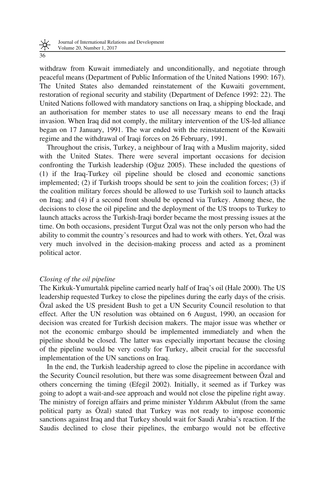withdraw from Kuwait immediately and unconditionally, and negotiate through peaceful means (Department of Public Information of the United Nations 1990: 167). The United States also demanded reinstatement of the Kuwaiti government, restoration of regional security and stability (Department of Defence 1992: 22). The United Nations followed with mandatory sanctions on Iraq, a shipping blockade, and an authorisation for member states to use all necessary means to end the Iraqi invasion. When Iraq did not comply, the military intervention of the US-led alliance began on 17 January, 1991. The war ended with the reinstatement of the Kuwaiti regime and the withdrawal of Iraqi forces on 26 February, 1991.

Throughout the crisis, Turkey, a neighbour of Iraq with a Muslim majority, sided with the United States. There were several important occasions for decision confronting the Turkish leadership (Oğuz 2005). These included the questions of (1) if the Iraq-Turkey oil pipeline should be closed and economic sanctions implemented; (2) if Turkish troops should be sent to join the coalition forces; (3) if the coalition military forces should be allowed to use Turkish soil to launch attacks on Iraq; and (4) if a second front should be opened via Turkey. Among these, the decisions to close the oil pipeline and the deployment of the US troops to Turkey to launch attacks across the Turkish-Iraqi border became the most pressing issues at the time. On both occasions, president Turgut Özal was not the only person who had the ability to commit the country's resources and had to work with others. Yet, Özal was very much involved in the decision-making process and acted as a prominent political actor.

#### Closing of the oil pipeline

The Kirkuk-Yumurtalık pipeline carried nearly half of Iraq's oil (Hale 2000). The US leadership requested Turkey to close the pipelines during the early days of the crisis. Özal asked the US president Bush to get a UN Security Council resolution to that effect. After the UN resolution was obtained on 6 August, 1990, an occasion for decision was created for Turkish decision makers. The major issue was whether or not the economic embargo should be implemented immediately and when the pipeline should be closed. The latter was especially important because the closing of the pipeline would be very costly for Turkey, albeit crucial for the successful implementation of the UN sanctions on Iraq.

In the end, the Turkish leadership agreed to close the pipeline in accordance with the Security Council resolution, but there was some disagreement between Özal and others concerning the timing (Efegil 2002). Initially, it seemed as if Turkey was going to adopt a wait-and-see approach and would not close the pipeline right away. The ministry of foreign affairs and prime minister Yıldırım Akbulut (from the same political party as Özal) stated that Turkey was not ready to impose economic sanctions against Iraq and that Turkey should wait for Saudi Arabia's reaction. If the Saudis declined to close their pipelines, the embargo would not be effective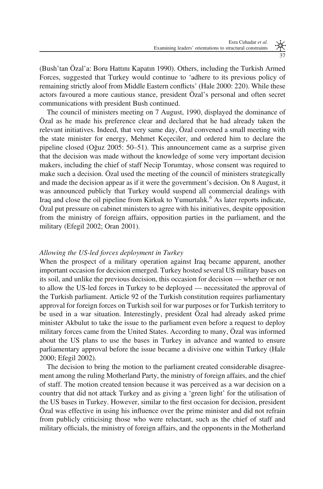

(Bush'tan Özal'a: Boru Hattını Kapatın 1990). Others, including the Turkish Armed Forces, suggested that Turkey would continue to 'adhere to its previous policy of remaining strictly aloof from Middle Eastern conflicts' (Hale 2000: 220). While these actors favoured a more cautious stance, president Özal's personal and often secret communications with president Bush continued.

The council of ministers meeting on 7 August, 1990, displayed the dominance of Özal as he made his preference clear and declared that he had already taken the relevant initiatives. Indeed, that very same day, Özal convened a small meeting with the state minister for energy, Mehmet Keçeciler, and ordered him to declare the pipeline closed (Oğuz 2005: 50–51). This announcement came as a surprise given that the decision was made without the knowledge of some very important decision makers, including the chief of staff Necip Torumtay, whose consent was required to make such a decision. Özal used the meeting of the council of ministers strategically and made the decision appear as if it were the government's decision. On 8 August, it was announced publicly that Turkey would suspend all commercial dealings with Iraq and close the oil pipeline from Kirkuk to Yumurtalik.<sup>6</sup> As later reports indicate, Özal put pressure on cabinet ministers to agree with his initiatives, despite opposition from the ministry of foreign affairs, opposition parties in the parliament, and the military (Efegil 2002; Oran 2001).

#### Allowing the US-led forces deployment in Turkey

When the prospect of a military operation against Iraq became apparent, another important occasion for decision emerged. Turkey hosted several US military bases on its soil, and unlike the previous decision, this occasion for decision — whether or not to allow the US-led forces in Turkey to be deployed — necessitated the approval of the Turkish parliament. Article 92 of the Turkish constitution requires parliamentary approval for foreign forces on Turkish soil for war purposes or for Turkish territory to be used in a war situation. Interestingly, president Özal had already asked prime minister Akbulut to take the issue to the parliament even before a request to deploy military forces came from the United States. According to many, Özal was informed about the US plans to use the bases in Turkey in advance and wanted to ensure parliamentary approval before the issue became a divisive one within Turkey (Hale 2000; Efegil 2002).

The decision to bring the motion to the parliament created considerable disagreement among the ruling Motherland Party, the ministry of foreign affairs, and the chief of staff. The motion created tension because it was perceived as a war decision on a country that did not attack Turkey and as giving a 'green light' for the utilisation of the US bases in Turkey. However, similar to the first occasion for decision, president Özal was effective in using his influence over the prime minister and did not refrain from publicly criticising those who were reluctant, such as the chief of staff and military officials, the ministry of foreign affairs, and the opponents in the Motherland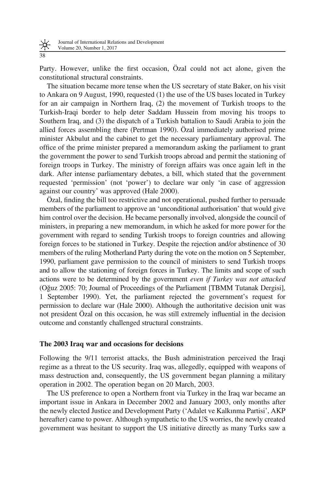Party. However, unlike the first occasion, Özal could not act alone, given the constitutional structural constraints.

The situation became more tense when the US secretary of state Baker, on his visit to Ankara on 9 August, 1990, requested (1) the use of the US bases located in Turkey for an air campaign in Northern Iraq, (2) the movement of Turkish troops to the Turkish-Iraqi border to help deter Saddam Hussein from moving his troops to Southern Iraq, and (3) the dispatch of a Turkish battalion to Saudi Arabia to join the allied forces assembling there (Pertman 1990). Özal immediately authorised prime minister Akbulut and the cabinet to get the necessary parliamentary approval. The office of the prime minister prepared a memorandum asking the parliament to grant the government the power to send Turkish troops abroad and permit the stationing of foreign troops in Turkey. The ministry of foreign affairs was once again left in the dark. After intense parliamentary debates, a bill, which stated that the government requested 'permission' (not 'power') to declare war only 'in case of aggression against our country' was approved (Hale 2000).

Özal, finding the bill too restrictive and not operational, pushed further to persuade members of the parliament to approve an 'unconditional authorisation' that would give him control over the decision. He became personally involved, alongside the council of ministers, in preparing a new memorandum, in which he asked for more power for the government with regard to sending Turkish troops to foreign countries and allowing foreign forces to be stationed in Turkey. Despite the rejection and/or abstinence of 30 members of the ruling Motherland Party during the vote on the motion on 5 September, 1990, parliament gave permission to the council of ministers to send Turkish troops and to allow the stationing of foreign forces in Turkey. The limits and scope of such actions were to be determined by the government even if Turkey was not attacked (Oğuz 2005: 70; Journal of Proceedings of the Parliament [TBMM Tutanak Dergisi], 1 September 1990). Yet, the parliament rejected the government's request for permission to declare war (Hale 2000). Although the authoritative decision unit was not president Özal on this occasion, he was still extremely influential in the decision outcome and constantly challenged structural constraints.

## The 2003 Iraq war and occasions for decisions

Following the 9/11 terrorist attacks, the Bush administration perceived the Iraqi regime as a threat to the US security. Iraq was, allegedly, equipped with weapons of mass destruction and, consequently, the US government began planning a military operation in 2002. The operation began on 20 March, 2003.

The US preference to open a Northern front via Turkey in the Iraq war became an important issue in Ankara in December 2002 and January 2003, only months after the newly elected Justice and Development Party ('Adalet ve Kalkınma Partisi', AKP hereafter) came to power. Although sympathetic to the US worries, the newly created government was hesitant to support the US initiative directly as many Turks saw a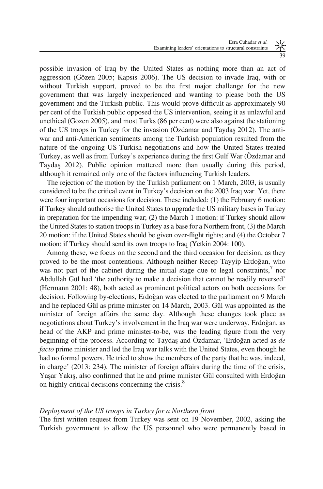possible invasion of Iraq by the United States as nothing more than an act of aggression (Gözen 2005; Kapsis 2006). The US decision to invade Iraq, with or without Turkish support, proved to be the first major challenge for the new government that was largely inexperienced and wanting to please both the US government and the Turkish public. This would prove difficult as approximately 90 per cent of the Turkish public opposed the US intervention, seeing it as unlawful and unethical (Gözen 2005), and most Turks (86 per cent) were also against the stationing of the US troops in Turkey for the invasion (Özdamar and Taydaş 2012). The antiwar and anti-American sentiments among the Turkish population resulted from the nature of the ongoing US-Turkish negotiations and how the United States treated Turkey, as well as from Turkey's experience during the first Gulf War (Özdamar and Taydaş 2012). Public opinion mattered more than usually during this period, although it remained only one of the factors influencing Turkish leaders.

The rejection of the motion by the Turkish parliament on 1 March, 2003, is usually considered to be the critical event in Turkey's decision on the 2003 Iraq war. Yet, there were four important occasions for decision. These included: (1) the February 6 motion: if Turkey should authorise the United States to upgrade the US military bases in Turkey in preparation for the impending war; (2) the March 1 motion: if Turkey should allow the United States to station troops in Turkey as a base for a Northern front, (3) the March 20 motion: if the United States should be given over-flight rights; and (4) the October 7 motion: if Turkey should send its own troops to Iraq (Yetkin 2004: 100).

Among these, we focus on the second and the third occasion for decision, as they proved to be the most contentious. Although neither Recep Tayyip Erdoğan, who was not part of the cabinet during the initial stage due to legal constraints, $\frac{7}{1}$  nor Abdullah Gül had 'the authority to make a decision that cannot be readily reversed' (Hermann 2001: 48), both acted as prominent political actors on both occasions for decision. Following by-elections, Erdoğan was elected to the parliament on 9 March and he replaced Gül as prime minister on 14 March, 2003. Gül was appointed as the minister of foreign affairs the same day. Although these changes took place as negotiations about Turkey's involvement in the Iraq war were underway, Erdoğan, as head of the AKP and prime minister-to-be, was the leading figure from the very beginning of the process. According to Taydaş and Özdamar, 'Erdoğan acted as de facto prime minister and led the Iraq war talks with the United States, even though he had no formal powers. He tried to show the members of the party that he was, indeed, in charge' (2013: 234). The minister of foreign affairs during the time of the crisis, Yaşar Yakış, also confirmed that he and prime minister Gül consulted with Erdoğan on highly critical decisions concerning the crisis.<sup>8</sup>

#### Deployment of the US troops in Turkey for a Northern front

The first written request from Turkey was sent on 19 November, 2002, asking the Turkish government to allow the US personnel who were permanently based in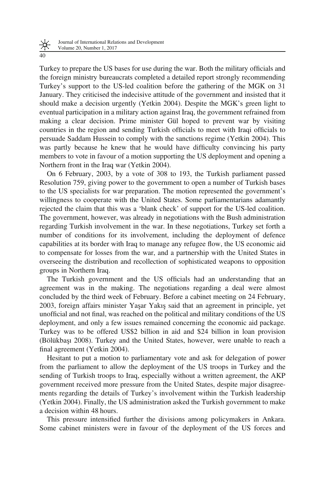Turkey to prepare the US bases for use during the war. Both the military officials and the foreign ministry bureaucrats completed a detailed report strongly recommending Turkey's support to the US-led coalition before the gathering of the MGK on 31 January. They criticised the indecisive attitude of the government and insisted that it should make a decision urgently (Yetkin 2004). Despite the MGK's green light to eventual participation in a military action against Iraq, the government refrained from making a clear decision. Prime minister Gül hoped to prevent war by visiting countries in the region and sending Turkish officials to meet with Iraqi officials to persuade Saddam Hussein to comply with the sanctions regime (Yetkin 2004). This was partly because he knew that he would have difficulty convincing his party members to vote in favour of a motion supporting the US deployment and opening a Northern front in the Iraq war (Yetkin 2004).

On 6 February, 2003, by a vote of 308 to 193, the Turkish parliament passed Resolution 759, giving power to the government to open a number of Turkish bases to the US specialists for war preparation. The motion represented the government's willingness to cooperate with the United States. Some parliamentarians adamantly rejected the claim that this was a 'blank check' of support for the US-led coalition. The government, however, was already in negotiations with the Bush administration regarding Turkish involvement in the war. In these negotiations, Turkey set forth a number of conditions for its involvement, including the deployment of defence capabilities at its border with Iraq to manage any refugee flow, the US economic aid to compensate for losses from the war, and a partnership with the United States in overseeing the distribution and recollection of sophisticated weapons to opposition groups in Northern Iraq.

The Turkish government and the US officials had an understanding that an agreement was in the making. The negotiations regarding a deal were almost concluded by the third week of February. Before a cabinet meeting on 24 February, 2003, foreign affairs minister Yaşar Yakış said that an agreement in principle, yet unofficial and not final, was reached on the political and military conditions of the US deployment, and only a few issues remained concerning the economic aid package. Turkey was to be offered US\$2 billion in aid and \$24 billion in loan provision (Bölükbaşı 2008). Turkey and the United States, however, were unable to reach a final agreement (Yetkin 2004).

Hesitant to put a motion to parliamentary vote and ask for delegation of power from the parliament to allow the deployment of the US troops in Turkey and the sending of Turkish troops to Iraq, especially without a written agreement, the AKP government received more pressure from the United States, despite major disagreements regarding the details of Turkey's involvement within the Turkish leadership (Yetkin 2004). Finally, the US administration asked the Turkish government to make a decision within 48 hours.

This pressure intensified further the divisions among policymakers in Ankara. Some cabinet ministers were in favour of the deployment of the US forces and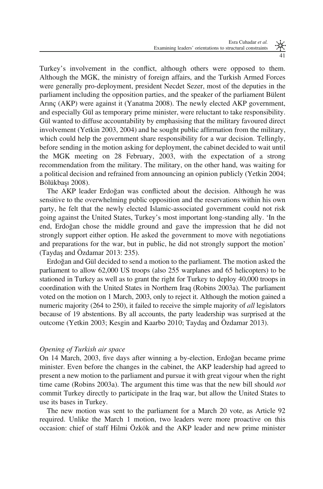Turkey's involvement in the conflict, although others were opposed to them. Although the MGK, the ministry of foreign affairs, and the Turkish Armed Forces were generally pro-deployment, president Necdet Sezer, most of the deputies in the parliament including the opposition parties, and the speaker of the parliament Bülent Arınç (AKP) were against it (Yanatma 2008). The newly elected AKP government, and especially Gül as temporary prime minister, were reluctant to take responsibility. Gül wanted to diffuse accountability by emphasising that the military favoured direct involvement (Yetkin 2003, 2004) and he sought public affirmation from the military, which could help the government share responsibility for a war decision. Tellingly, before sending in the motion asking for deployment, the cabinet decided to wait until the MGK meeting on 28 February, 2003, with the expectation of a strong recommendation from the military. The military, on the other hand, was waiting for a political decision and refrained from announcing an opinion publicly (Yetkin 2004; Bölükbaşı 2008).

The AKP leader Erdoğan was conflicted about the decision. Although he was sensitive to the overwhelming public opposition and the reservations within his own party, he felt that the newly elected Islamic-associated government could not risk going against the United States, Turkey's most important long-standing ally. 'In the end, Erdoğan chose the middle ground and gave the impression that he did not strongly support either option. He asked the government to move with negotiations and preparations for the war, but in public, he did not strongly support the motion' (Taydaş and Özdamar 2013: 235).

Erdoğan and Gül decided to send a motion to the parliament. The motion asked the parliament to allow 62,000 US troops (also 255 warplanes and 65 helicopters) to be stationed in Turkey as well as to grant the right for Turkey to deploy 40,000 troops in coordination with the United States in Northern Iraq (Robins 2003a). The parliament voted on the motion on 1 March, 2003, only to reject it. Although the motion gained a numeric majority (264 to 250), it failed to receive the simple majority of *all* legislators because of 19 abstentions. By all accounts, the party leadership was surprised at the outcome (Yetkin 2003; Kesgin and Kaarbo 2010; Taydaş and Özdamar 2013).

#### Opening of Turkish air space

On 14 March, 2003, five days after winning a by-election, Erdoğan became prime minister. Even before the changes in the cabinet, the AKP leadership had agreed to present a new motion to the parliament and pursue it with great vigour when the right time came (Robins 2003a). The argument this time was that the new bill should not commit Turkey directly to participate in the Iraq war, but allow the United States to use its bases in Turkey.

The new motion was sent to the parliament for a March 20 vote, as Article 92 required. Unlike the March 1 motion, two leaders were more proactive on this occasion: chief of staff Hilmi Özkök and the AKP leader and new prime minister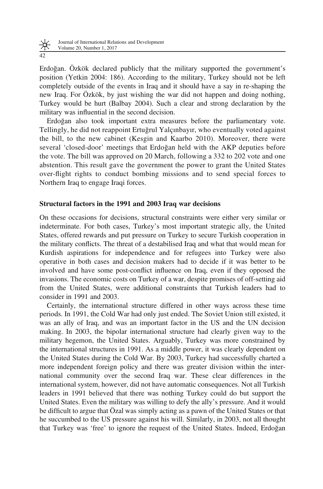Erdoğan. Özkök declared publicly that the military supported the government's position (Yetkin 2004: 186). According to the military, Turkey should not be left completely outside of the events in Iraq and it should have a say in re-shaping the new Iraq. For Özkök, by just wishing the war did not happen and doing nothing, Turkey would be hurt (Balbay 2004). Such a clear and strong declaration by the military was influential in the second decision.

Erdoğan also took important extra measures before the parliamentary vote. Tellingly, he did not reappoint Ertuğrul Yalçınbayır, who eventually voted against the bill, to the new cabinet (Kesgin and Kaarbo 2010). Moreover, there were several 'closed-door' meetings that Erdoğan held with the AKP deputies before the vote. The bill was approved on 20 March, following a 332 to 202 vote and one abstention. This result gave the government the power to grant the United States over-flight rights to conduct bombing missions and to send special forces to Northern Iraq to engage Iraqi forces.

## Structural factors in the 1991 and 2003 Iraq war decisions

On these occasions for decisions, structural constraints were either very similar or indeterminate. For both cases, Turkey's most important strategic ally, the United States, offered rewards and put pressure on Turkey to secure Turkish cooperation in the military conflicts. The threat of a destabilised Iraq and what that would mean for Kurdish aspirations for independence and for refugees into Turkey were also operative in both cases and decision makers had to decide if it was better to be involved and have some post-conflict influence on Iraq, even if they opposed the invasions. The economic costs on Turkey of a war, despite promises of off-setting aid from the United States, were additional constraints that Turkish leaders had to consider in 1991 and 2003.

Certainly, the international structure differed in other ways across these time periods. In 1991, the Cold War had only just ended. The Soviet Union still existed, it was an ally of Iraq, and was an important factor in the US and the UN decision making. In 2003, the bipolar international structure had clearly given way to the military hegemon, the United States. Arguably, Turkey was more constrained by the international structures in 1991. As a middle power, it was clearly dependent on the United States during the Cold War. By 2003, Turkey had successfully charted a more independent foreign policy and there was greater division within the international community over the second Iraq war. These clear differences in the international system, however, did not have automatic consequences. Not all Turkish leaders in 1991 believed that there was nothing Turkey could do but support the United States. Even the military was willing to defy the ally's pressure. And it would be difficult to argue that Özal was simply acting as a pawn of the United States or that he succumbed to the US pressure against his will. Similarly, in 2003, not all thought that Turkey was 'free' to ignore the request of the United States. Indeed, Erdoğan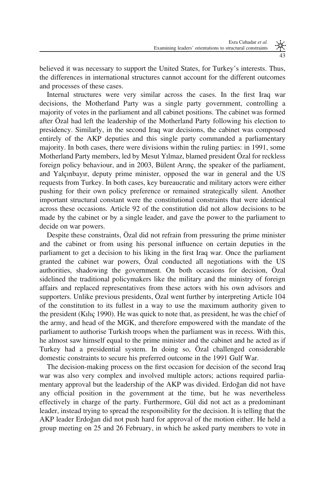believed it was necessary to support the United States, for Turkey's interests. Thus, the differences in international structures cannot account for the different outcomes and processes of these cases.

Internal structures were very similar across the cases. In the first Iraq war decisions, the Motherland Party was a single party government, controlling a majority of votes in the parliament and all cabinet positions. The cabinet was formed after Özal had left the leadership of the Motherland Party following his election to presidency. Similarly, in the second Iraq war decisions, the cabinet was composed entirely of the AKP deputies and this single party commanded a parliamentary majority. In both cases, there were divisions within the ruling parties: in 1991, some Motherland Party members, led by Mesut Yılmaz, blamed president Özal for reckless foreign policy behaviour, and in 2003, Bülent Arınç, the speaker of the parliament, and Yalçınbayır, deputy prime minister, opposed the war in general and the US requests from Turkey. In both cases, key bureaucratic and military actors were either pushing for their own policy preference or remained strategically silent. Another important structural constant were the constitutional constraints that were identical across these occasions. Article 92 of the constitution did not allow decisions to be made by the cabinet or by a single leader, and gave the power to the parliament to decide on war powers.

Despite these constraints, Özal did not refrain from pressuring the prime minister and the cabinet or from using his personal influence on certain deputies in the parliament to get a decision to his liking in the first Iraq war. Once the parliament granted the cabinet war powers, Özal conducted all negotiations with the US authorities, shadowing the government. On both occasions for decision, Özal sidelined the traditional policymakers like the military and the ministry of foreign affairs and replaced representatives from these actors with his own advisors and supporters. Unlike previous presidents, Özal went further by interpreting Article 104 of the constitution to its fullest in a way to use the maximum authority given to the president (Kılıç 1990). He was quick to note that, as president, he was the chief of the army, and head of the MGK, and therefore empowered with the mandate of the parliament to authorise Turkish troops when the parliament was in recess. With this, he almost saw himself equal to the prime minister and the cabinet and he acted as if Turkey had a presidential system. In doing so, Özal challenged considerable domestic constraints to secure his preferred outcome in the 1991 Gulf War.

The decision-making process on the first occasion for decision of the second Iraq war was also very complex and involved multiple actors; actions required parliamentary approval but the leadership of the AKP was divided. Erdoğan did not have any official position in the government at the time, but he was nevertheless effectively in charge of the party. Furthermore, Gül did not act as a predominant leader, instead trying to spread the responsibility for the decision. It is telling that the AKP leader Erdoğan did not push hard for approval of the motion either. He held a group meeting on 25 and 26 February, in which he asked party members to vote in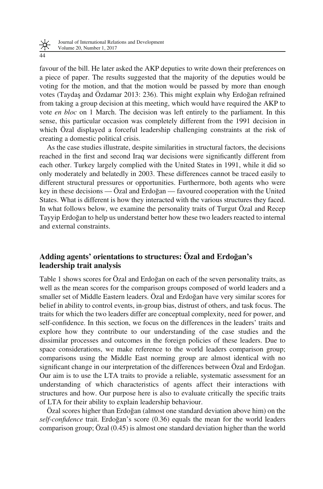favour of the bill. He later asked the AKP deputies to write down their preferences on a piece of paper. The results suggested that the majority of the deputies would be voting for the motion, and that the motion would be passed by more than enough votes (Taydaş and Özdamar 2013: 236). This might explain why Erdoğan refrained from taking a group decision at this meeting, which would have required the AKP to vote en bloc on 1 March. The decision was left entirely to the parliament. In this sense, this particular occasion was completely different from the 1991 decision in which Özal displayed a forceful leadership challenging constraints at the risk of creating a domestic political crisis.

As the case studies illustrate, despite similarities in structural factors, the decisions reached in the first and second Iraq war decisions were significantly different from each other. Turkey largely complied with the United States in 1991, while it did so only moderately and belatedly in 2003. These differences cannot be traced easily to different structural pressures or opportunities. Furthermore, both agents who were key in these decisions — Özal and Erdoğan — favoured cooperation with the United States. What is different is how they interacted with the various structures they faced. In what follows below, we examine the personality traits of Turgut Özal and Recep Tayyip Erdoğan to help us understand better how these two leaders reacted to internal and external constraints.

## Adding agents' orientations to structures: Özal and Erdoğan's leadership trait analysis

Table 1 shows scores for Özal and Erdoğan on each of the seven personality traits, as well as the mean scores for the comparison groups composed of world leaders and a smaller set of Middle Eastern leaders. Özal and Erdoğan have very similar scores for belief in ability to control events, in-group bias, distrust of others, and task focus. The traits for which the two leaders differ are conceptual complexity, need for power, and self-confidence. In this section, we focus on the differences in the leaders' traits and explore how they contribute to our understanding of the case studies and the dissimilar processes and outcomes in the foreign policies of these leaders. Due to space considerations, we make reference to the world leaders comparison group; comparisons using the Middle East norming group are almost identical with no significant change in our interpretation of the differences between Özal and Erdoğan. Our aim is to use the LTA traits to provide a reliable, systematic assessment for an understanding of which characteristics of agents affect their interactions with structures and how. Our purpose here is also to evaluate critically the specific traits of LTA for their ability to explain leadership behaviour.

Özal scores higher than Erdoğan (almost one standard deviation above him) on the self-confidence trait. Erdoğan's score (0.36) equals the mean for the world leaders comparison group; Özal (0.45) is almost one standard deviation higher than the world

 $\overline{44}$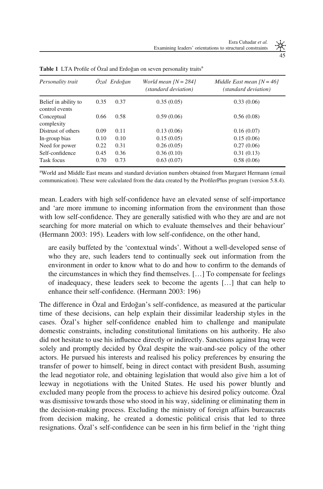| Personality trait                      |      | Özal Erdoğan | World mean $IN = 2841$<br>(standard deviation) | Middle East mean $[N = 46]$<br>(standard deviation) |
|----------------------------------------|------|--------------|------------------------------------------------|-----------------------------------------------------|
| Belief in ability to<br>control events | 0.35 | 0.37         | 0.35(0.05)                                     | 0.33(0.06)                                          |
| Conceptual<br>complexity               | 0.66 | 0.58         | 0.59(0.06)                                     | 0.56(0.08)                                          |
| Distrust of others                     | 0.09 | 0.11         | 0.13(0.06)                                     | 0.16(0.07)                                          |
| In-group bias                          | 0.10 | 0.10         | 0.15(0.05)                                     | 0.15(0.06)                                          |
| Need for power                         | 0.22 | 0.31         | 0.26(0.05)                                     | 0.27(0.06)                                          |
| Self-confidence                        | 0.45 | 0.36         | 0.36(0.10)                                     | 0.31(0.13)                                          |
| Task focus                             | 0.70 | 0.73         | 0.63(0.07)                                     | 0.58(0.06)                                          |

Table 1 LTA Profile of Özal and Erdoğan on seven personality traits<sup>a</sup>

<sup>a</sup>World and Middle East means and standard deviation numbers obtained from Margaret Hermann (email communication). These were calculated from the data created by the ProfilerPlus program (version 5.8.4).

mean. Leaders with high self-confidence have an elevated sense of self-importance and 'are more immune to incoming information from the environment than those with low self-confidence. They are generally satisfied with who they are and are not searching for more material on which to evaluate themselves and their behaviour' (Hermann 2003: 195). Leaders with low self-confidence, on the other hand,

are easily buffeted by the 'contextual winds'. Without a well-developed sense of who they are, such leaders tend to continually seek out information from the environment in order to know what to do and how to confirm to the demands of the circumstances in which they find themselves. […] To compensate for feelings of inadequacy, these leaders seek to become the agents […] that can help to enhance their self-confidence. (Hermann 2003: 196)

The difference in Özal and Erdoğan's self-confidence, as measured at the particular time of these decisions, can help explain their dissimilar leadership styles in the cases. Özal's higher self-confidence enabled him to challenge and manipulate domestic constraints, including constitutional limitations on his authority. He also did not hesitate to use his influence directly or indirectly. Sanctions against Iraq were solely and promptly decided by Özal despite the wait-and-see policy of the other actors. He pursued his interests and realised his policy preferences by ensuring the transfer of power to himself, being in direct contact with president Bush, assuming the lead negotiator role, and obtaining legislation that would also give him a lot of leeway in negotiations with the United States. He used his power bluntly and excluded many people from the process to achieve his desired policy outcome. Özal was dismissive towards those who stood in his way, sidelining or eliminating them in the decision-making process. Excluding the ministry of foreign affairs bureaucrats from decision making, he created a domestic political crisis that led to three resignations. Özal's self-confidence can be seen in his firm belief in the 'right thing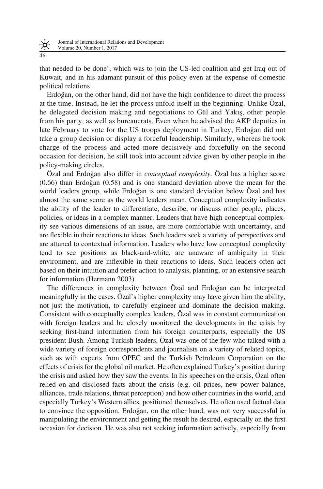that needed to be done', which was to join the US-led coalition and get Iraq out of Kuwait, and in his adamant pursuit of this policy even at the expense of domestic political relations.

Erdoğan, on the other hand, did not have the high confidence to direct the process at the time. Instead, he let the process unfold itself in the beginning. Unlike Özal, he delegated decision making and negotiations to Gül and Yakış, other people from his party, as well as bureaucrats. Even when he advised the AKP deputies in late February to vote for the US troops deployment in Turkey, Erdoğan did not take a group decision or display a forceful leadership. Similarly, whereas he took charge of the process and acted more decisively and forcefully on the second occasion for decision, he still took into account advice given by other people in the policy-making circles.

Özal and Erdoğan also differ in conceptual complexity. Özal has a higher score (0.66) than Erdoğan (0.58) and is one standard deviation above the mean for the world leaders group, while Erdoğan is one standard deviation below Özal and has almost the same score as the world leaders mean. Conceptual complexity indicates the ability of the leader to differentiate, describe, or discuss other people, places, policies, or ideas in a complex manner. Leaders that have high conceptual complexity see various dimensions of an issue, are more comfortable with uncertainty, and are flexible in their reactions to ideas. Such leaders seek a variety of perspectives and are attuned to contextual information. Leaders who have low conceptual complexity tend to see positions as black-and-white, are unaware of ambiguity in their environment, and are inflexible in their reactions to ideas. Such leaders often act based on their intuition and prefer action to analysis, planning, or an extensive search for information (Hermann 2003).

The differences in complexity between Özal and Erdoğan can be interpreted meaningfully in the cases. Özal's higher complexity may have given him the ability, not just the motivation, to carefully engineer and dominate the decision making. Consistent with conceptually complex leaders, Özal was in constant communication with foreign leaders and he closely monitored the developments in the crisis by seeking first-hand information from his foreign counterparts, especially the US president Bush. Among Turkish leaders, Özal was one of the few who talked with a wide variety of foreign correspondents and journalists on a variety of related topics, such as with experts from OPEC and the Turkish Petroleum Corporation on the effects of crisis for the global oil market. He often explained Turkey's position during the crisis and asked how they saw the events. In his speeches on the crisis, Özal often relied on and disclosed facts about the crisis (e.g. oil prices, new power balance, alliances, trade relations, threat perception) and how other countries in the world, and especially Turkey's Western allies, positioned themselves. He often used factual data to convince the opposition. Erdoğan, on the other hand, was not very successful in manipulating the environment and getting the result he desired, especially on the first occasion for decision. He was also not seeking information actively, especially from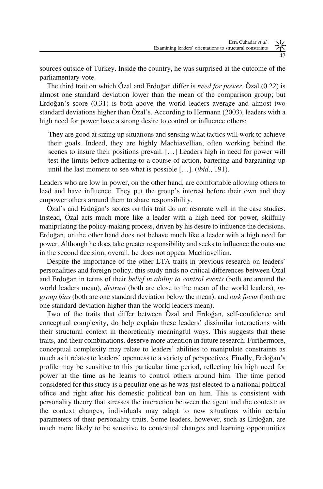sources outside of Turkey. Inside the country, he was surprised at the outcome of the parliamentary vote.

The third trait on which Özal and Erdoğan differ is need for power. Özal (0.22) is almost one standard deviation lower than the mean of the comparison group; but Erdoğan's score (0.31) is both above the world leaders average and almost two standard deviations higher than Özal's. According to Hermann (2003), leaders with a high need for power have a strong desire to control or influence others:

They are good at sizing up situations and sensing what tactics will work to achieve their goals. Indeed, they are highly Machiavellian, often working behind the scenes to insure their positions prevail. […] Leaders high in need for power will test the limits before adhering to a course of action, bartering and bargaining up until the last moment to see what is possible […]. (ibid., 191).

Leaders who are low in power, on the other hand, are comfortable allowing others to lead and have influence. They put the group's interest before their own and they empower others around them to share responsibility.

Özal's and Erdoğan's scores on this trait do not resonate well in the case studies. Instead, Özal acts much more like a leader with a high need for power, skilfully manipulating the policy-making process, driven by his desire to influence the decisions. Erdoğan, on the other hand does not behave much like a leader with a high need for power. Although he does take greater responsibility and seeks to influence the outcome in the second decision, overall, he does not appear Machiavellian.

Despite the importance of the other LTA traits in previous research on leaders' personalities and foreign policy, this study finds no critical differences between Özal and Erdoğan in terms of their belief in ability to control events (both are around the world leaders mean), *distrust* (both are close to the mean of the world leaders), *in*group bias (both are one standard deviation below the mean), and task focus (both are one standard deviation higher than the world leaders mean).

Two of the traits that differ between Özal and Erdoğan, self-confidence and conceptual complexity, do help explain these leaders' dissimilar interactions with their structural context in theoretically meaningful ways. This suggests that these traits, and their combinations, deserve more attention in future research. Furthermore, conceptual complexity may relate to leaders' abilities to manipulate constraints as much as it relates to leaders' openness to a variety of perspectives. Finally, Erdoğan's profile may be sensitive to this particular time period, reflecting his high need for power at the time as he learns to control others around him. The time period considered for this study is a peculiar one as he was just elected to a national political office and right after his domestic political ban on him. This is consistent with personality theory that stresses the interaction between the agent and the context: as the context changes, individuals may adapt to new situations within certain parameters of their personality traits. Some leaders, however, such as Erdoğan, are much more likely to be sensitive to contextual changes and learning opportunities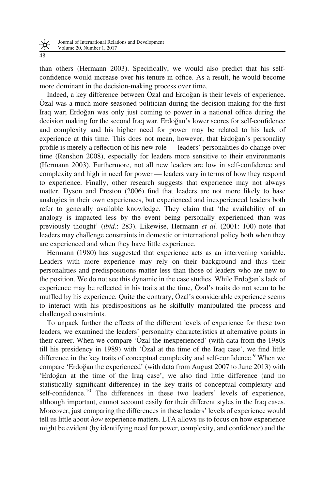than others (Hermann 2003). Specifically, we would also predict that his selfconfidence would increase over his tenure in office. As a result, he would become more dominant in the decision-making process over time.

Indeed, a key difference between Özal and Erdoğan is their levels of experience. Özal was a much more seasoned politician during the decision making for the first Iraq war; Erdoğan was only just coming to power in a national office during the decision making for the second Iraq war. Erdoğan's lower scores for self-confidence and complexity and his higher need for power may be related to his lack of experience at this time. This does not mean, however, that Erdoğan's personality profile is merely a reflection of his new role — leaders' personalities do change over time (Renshon 2008), especially for leaders more sensitive to their environments (Hermann 2003). Furthermore, not all new leaders are low in self-confidence and complexity and high in need for power — leaders vary in terms of how they respond to experience. Finally, other research suggests that experience may not always matter. Dyson and Preston (2006) find that leaders are not more likely to base analogies in their own experiences, but experienced and inexperienced leaders both refer to generally available knowledge. They claim that 'the availability of an analogy is impacted less by the event being personally experienced than was previously thought' (ibid.: 283). Likewise, Hermann et al. (2001: 100) note that leaders may challenge constraints in domestic or international policy both when they are experienced and when they have little experience.

Hermann (1980) has suggested that experience acts as an intervening variable. Leaders with more experience may rely on their background and thus their personalities and predispositions matter less than those of leaders who are new to the position. We do not see this dynamic in the case studies. While Erdoğan's lack of experience may be reflected in his traits at the time, Özal's traits do not seem to be muffled by his experience. Quite the contrary, Özal's considerable experience seems to interact with his predispositions as he skilfully manipulated the process and challenged constraints.

To unpack further the effects of the different levels of experience for these two leaders, we examined the leaders' personality characteristics at alternative points in their career. When we compare 'Özal the inexperienced' (with data from the 1980s till his presidency in 1989) with 'Özal at the time of the Iraq case', we find little difference in the key traits of conceptual complexity and self-confidence.<sup>9</sup> When we compare 'Erdoğan the experienced' (with data from August 2007 to June 2013) with 'Erdoğan at the time of the Iraq case', we also find little difference (and no statistically significant difference) in the key traits of conceptual complexity and self-confidence.<sup>10</sup> The differences in these two leaders' levels of experience, although important, cannot account easily for their different styles in the Iraq cases. Moreover, just comparing the differences in these leaders' levels of experience would tell us little about how experience matters. LTA allows us to focus on how experience might be evident (by identifying need for power, complexity, and confidence) and the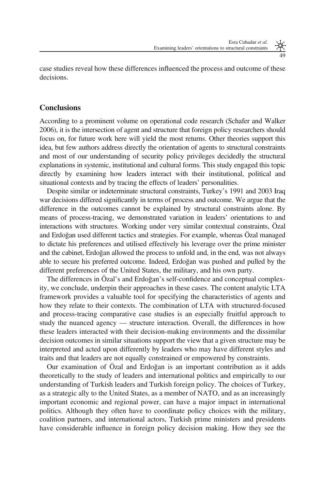case studies reveal how these differences influenced the process and outcome of these decisions.

## **Conclusions**

According to a prominent volume on operational code research (Schafer and Walker 2006), it is the intersection of agent and structure that foreign policy researchers should focus on, for future work here will yield the most returns. Other theories support this idea, but few authors address directly the orientation of agents to structural constraints and most of our understanding of security policy privileges decidedly the structural explanations in systemic, institutional and cultural forms. This study engaged this topic directly by examining how leaders interact with their institutional, political and situational contexts and by tracing the effects of leaders' personalities.

Despite similar or indeterminate structural constraints, Turkey's 1991 and 2003 Iraq war decisions differed significantly in terms of process and outcome. We argue that the difference in the outcomes cannot be explained by structural constraints alone. By means of process-tracing, we demonstrated variation in leaders' orientations to and interactions with structures. Working under very similar contextual constraints, Özal and Erdoğan used different tactics and strategies. For example, whereas Özal managed to dictate his preferences and utilised effectively his leverage over the prime minister and the cabinet, Erdoğan allowed the process to unfold and, in the end, was not always able to secure his preferred outcome. Indeed, Erdoğan was pushed and pulled by the different preferences of the United States, the military, and his own party.

The differences in Özal's and Erdoğan's self-confidence and conceptual complexity, we conclude, underpin their approaches in these cases. The content analytic LTA framework provides a valuable tool for specifying the characteristics of agents and how they relate to their contexts. The combination of LTA with structured-focused and process-tracing comparative case studies is an especially fruitful approach to study the nuanced agency — structure interaction. Overall, the differences in how these leaders interacted with their decision-making environments and the dissimilar decision outcomes in similar situations support the view that a given structure may be interpreted and acted upon differently by leaders who may have different styles and traits and that leaders are not equally constrained or empowered by constraints.

Our examination of Özal and Erdoğan is an important contribution as it adds theoretically to the study of leaders and international politics and empirically to our understanding of Turkish leaders and Turkish foreign policy. The choices of Turkey, as a strategic ally to the United States, as a member of NATO, and as an increasingly important economic and regional power, can have a major impact in international politics. Although they often have to coordinate policy choices with the military, coalition partners, and international actors, Turkish prime ministers and presidents have considerable influence in foreign policy decision making. How they see the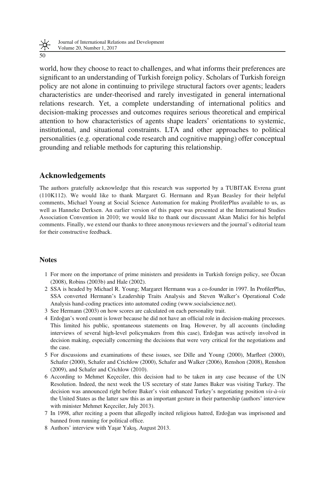

world, how they choose to react to challenges, and what informs their preferences are significant to an understanding of Turkish foreign policy. Scholars of Turkish foreign policy are not alone in continuing to privilege structural factors over agents; leaders characteristics are under-theorised and rarely investigated in general international relations research. Yet, a complete understanding of international politics and decision-making processes and outcomes requires serious theoretical and empirical attention to how characteristics of agents shape leaders' orientations to systemic, institutional, and situational constraints. LTA and other approaches to political personalities (e.g. operational code research and cognitive mapping) offer conceptual grounding and reliable methods for capturing this relationship.

## Acknowledgements

The authors gratefully acknowledge that this research was supported by a TUBITAK Evrena grant (110K112). We would like to thank Margaret G. Hermann and Ryan Beasley for their helpful comments, Michael Young at Social Science Automation for making ProfilerPlus available to us, as well as Hanneke Derksen. An earlier version of this paper was presented at the International Studies Association Convention in 2010; we would like to thank our discussant Akan Malici for his helpful comments. Finally, we extend our thanks to three anonymous reviewers and the journal's editorial team for their constructive feedback.

#### **Notes**

- 1 For more on the importance of prime ministers and presidents in Turkish foreign policy, see Özcan (2008), Robins (2003b) and Hale (2002).
- 2 SSA is headed by Michael R. Young; Margaret Hermann was a co-founder in 1997. In ProfilerPlus, SSA converted Hermann's Leadership Traits Analysis and Steven Walker's Operational Code Analysis hand-coding practices into automated coding (www.socialscience.net).
- 3 See Hermann (2003) on how scores are calculated on each personality trait.
- 4 Erdoğan's word count is lower because he did not have an official role in decision-making processes. This limited his public, spontaneous statements on Iraq. However, by all accounts (including interviews of several high-level policymakers from this case), Erdoğan was actively involved in decision making, especially concerning the decisions that were very critical for the negotiations and the case.
- 5 For discussions and examinations of these issues, see Dille and Young (2000), Marfleet (2000), Schafer (2000), Schafer and Crichlow (2000), Schafer and Walker (2006), Renshon (2008), Renshon (2009), and Schafer and Crichlow (2010).
- 6 According to Mehmet Keçeciler, this decision had to be taken in any case because of the UN Resolution. Indeed, the next week the US secretary of state James Baker was visiting Turkey. The decision was announced right before Baker's visit enhanced Turkey's negotiating position vis-à-vis the United States as the latter saw this as an important gesture in their partnership (authors' interview with minister Mehmet Keçeciler, July 2013).
- 7 In 1998, after reciting a poem that allegedly incited religious hatred, Erdoğan was imprisoned and banned from running for political office.
- 8 Authors' interview with Yaşar Yakış, August 2013.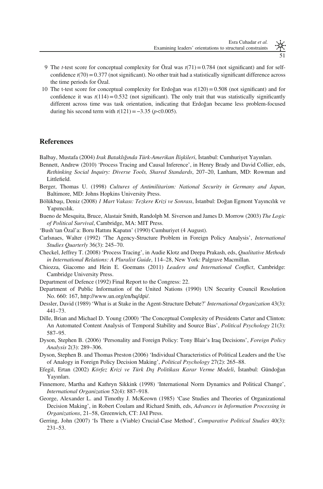- 9 The *t*-test score for conceptual complexity for Özal was  $t(71)=0.784$  (not significant) and for selfconfidence  $t(70)=0.377$  (not significant). No other trait had a statistically significant difference across the time periods for Özal.
- 10 The t-test score for conceptual complexity for Erdoğan was  $t(120) = 0.508$  (not significant) and for confidence it was  $t(114)=0.532$  (not significant). The only trait that was statistically significantly different across time was task orientation, indicating that Erdoğan became less problem-focused during his second term with  $t(121) = -3.35$  ( $p < 0.005$ ).

#### References

Balbay, Mustafa (2004) Irak Bataklığında Türk-Amerikan İlişkileri, İstanbul: Cumhuriyet Yayınları.

- Bennett, Andrew (2010) 'Process Tracing and Causal Inference', in Henry Brady and David Collier, eds, Rethinking Social Inquiry: Diverse Tools, Shared Standards, 207–20, Lanham, MD: Rowman and Littlefield.
- Berger, Thomas U. (1998) Cultures of Antimilitarism: National Security in Germany and Japan, Baltimore, MD: Johns Hopkins University Press.
- Bölükbaşı, Deniz (2008) 1 Mart Vakası: Tezkere Krizi ve Sonrası, İstanbul: Doğan Egmont Yayıncılık ve Yapımcılık.
- Bueno de Mesquita, Bruce, Alastair Smith, Randolph M. Siverson and James D. Morrow (2003) The Logic of Political Survival, Cambridge, MA: MIT Press.
- 'Bush'tan Özal'a: Boru Hattını Kapatın' (1990) Cumhuriyet (4 August).
- Carlsnaes, Walter (1992) 'The Agency-Structure Problem in Foreign Policy Analysis', International Studies Quarterly 36(3): 245–70.
- Checkel, Jeffrey T. (2008) 'Process Tracing', in Audie Klotz and Deepa Prakash, eds, Qualitative Methods in International Relations: A Pluralist Guide, 114–28, New York: Palgrave Macmillan.
- Chiozza, Giacomo and Hein E. Goemans (2011) Leaders and International Conflict, Cambridge: Cambridge University Press.
- Department of Defence (1992) Final Report to the Congress: 22.
- Department of Public Information of the United Nations (1990) UN Security Council Resolution No. 660: 167, http://www.un.org/en/hq/dpi/.
- Dessler, David (1989) 'What is at Stake in the Agent-Structure Debate?' International Organization 43(3): 441–73.
- Dille, Brian and Michael D. Young (2000) 'The Conceptual Complexity of Presidents Carter and Clinton: An Automated Content Analysis of Temporal Stability and Source Bias', Political Psychology 21(3): 587–95.
- Dyson, Stephen B. (2006) 'Personality and Foreign Policy: Tony Blair's Iraq Decisions', Foreign Policy Analysis 2(3): 289–306.
- Dyson, Stephen B. and Thomas Preston (2006) 'Individual Characteristics of Political Leaders and the Use of Analogy in Foreign Policy Decision Making', Political Psychology 27(2): 265–88.
- Efegil, Ertan (2002) Körfez Krizi ve Türk Dış Politikası Karar Verme Modeli, İstanbul: Gündoğan Yayınları.
- Finnemore, Martha and Kathryn Sikkink (1998) 'International Norm Dynamics and Political Change', International Organization 52(4): 887–918.
- George, Alexander L. and Timothy J. McKeown (1985) 'Case Studies and Theories of Organizational Decision Making', in Robert Coulam and Richard Smith, eds, Advances in Information Processing in Organizations, 21–58, Greenwich, CT: JAI Press.
- Gerring, John (2007) 'Is There a (Viable) Crucial-Case Method', Comparative Political Studies 40(3): 231–53.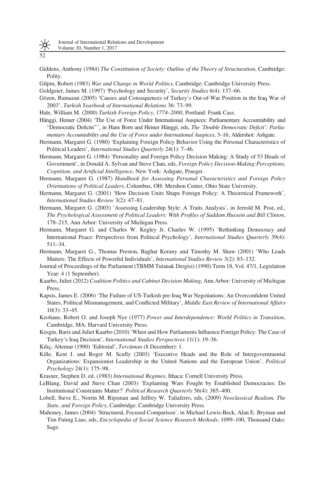- 52
- Giddens, Anthony (1984) The Constitution of Society: Outline of the Theory of Structuration, Cambridge: Polity.
- Gilpin, Robert (1983) War and Change in World Politics, Cambridge: Cambridge University Press.

Goldgeier, James M. (1997) 'Psychology and Security', Security Studies 6(4): 137–66.

- Gözen, Ramazan (2005) 'Causes and Consequences of Turkey's Out-of-War Position in the Iraq War of 2003', Turkish Yearbook of International Relations 36: 73–99.
- Hale, William M. (2000) Turkish Foreign Policy, 1774–2000, Portland: Frank Cass.
- Hänggi, Heiner (2004) 'The Use of Force Under International Auspices: Parliamentary Accountability and "Democratic Deficits"', in Hans Born and Heiner Hänggi, eds, The 'Double Democratic Deficit': Parliamentary Accountability and the Use of Force under International Auspices, 3–16, Aldershot: Ashgate.
- Hermann, Margaret G. (1980) 'Explaining Foreign Policy Behavior Using the Personal Characteristics of Political Leaders', International Studies Quarterly 24(1): 7–46.
- Hermann, Margaret G. (1984) 'Personality and Foreign Policy Decision Making: A Study of 53 Heads of Government', in Donald A. Sylvan and Steve Chan, eds, Foreign Policy Decision-Making:Perceptions, Cognition, and Artificial Intelligence, New York: Ashgate, Praeger.
- Hermann, Margaret G. (1987) Handbook for Assessing Personal Characteristics and Foreign Policy Orientations of Political Leaders, Columbus, OH: Mershon Center, Ohio State University.
- Hermann, Margaret G. (2001) 'How Decision Units Shape Foreign Policy: A Theoretical Framework', International Studies Review 3(2): 47–81.
- Hermann, Margaret G. (2003) 'Assessing Leadership Style: A Traits Analysis', in Jerrold M. Post, ed., The Psychological Assessment of Political Leaders: With Profiles of Saddam Hussein and Bill Clinton, 178–215, Ann Arbor: University of Michigan Press.
- Hermann, Margaret G. and Charles W. Kegley Jr. Charles W. (1995) 'Rethinking Democracy and International Peace: Perspectives from Political Psychology', International Studies Quarterly 39(4): 511–34.
- Hermann, Margaret G., Thomas Preston, Baghat Korany and Timothy M. Shaw (2001) 'Who Leads Matters: The Effects of Powerful Individuals', International Studies Review 3(2): 83–132.
- Journal of Proceedings of the Parliament (TBMM Tutanak Dergisi) (1990) Term 18, Vol. 47/1, Legislation Year: 4 (1 September).
- Kaarbo, Juliet (2012) Coalition Politics and Cabinet Decision Making, Ann Arbor: University of Michigan Press.
- Kapsis, James E. (2006) 'The Failure of US-Turkish pre-Iraq War Negotiations: An Overconfident United States, Political Mismanagement, and Conflicted Military', Middle East Review of International Affairs 10(3): 33–45.
- Keohane, Robert O. and Joseph Nye (1977) Power and Interdependence: World Politics in Transition, Cambridge, MA: Harvard University Press.
- Kesgin, Baris and Juliet Kaarbo (2010) 'When and How Parliaments Influence Foreign Policy: The Case of Turkey's Iraq Decision', International Studies Perspectives 11(1): 19–36.
- Kılıç, Altemur (1990) 'Editorial', Tercüman (8 December): 1.
- Kille, Kent J. and Roger M. Scully (2003) 'Executive Heads and the Role of Intergovernmental Organizations: Expansionist Leadership in the United Nations and the European Union', Political Psychology 24(1): 175–98.
- Krasner, Stephen D. ed. (1983) International Regimes, Ithaca: Cornell University Press.
- LeBlang, David and Steve Chan (2003) 'Explaining Wars Fought by Established Democracies: Do Institutional Constraints Matter?' Political Research Quarterly 56(4): 385–400.
- Lobell, Steve E., Norrin M. Ripsman and Jeffrey W. Taliaferro, eds, (2009) Neoclassical Realism, The State, and Foreign Policy, Cambridge: Cambridge University Press.
- Mahoney, James (2004) 'Structured, Focused Comparison', in Michael Lewis-Beck, Alan E. Bryman and Tim Futing Liao, eds, Encyclopedia of Social Science Research Methods, 1099–100, Thousand Oaks: Sage.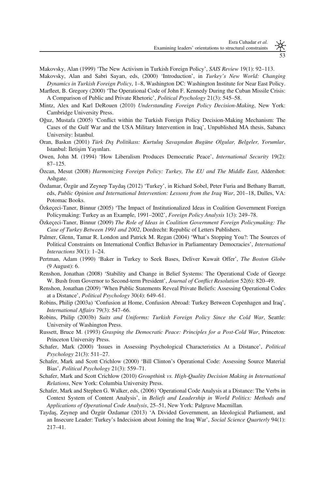Makovsky, Alan (1999) 'The New Activism in Turkish Foreign Policy', SAIS Review 19(1): 92–113.

- Makovsky, Alan and Sabri Sayarı, eds, (2000) 'Introduction', in Turkey's New World: Changing Dynamics in Turkish Foreign Policy, 1–8, Washington DC: Washington Institute for Near East Policy.
- Marfleet, B. Gregory (2000) 'The Operational Code of John F. Kennedy During the Cuban Missile Crisis: A Comparison of Public and Private Rhetoric', Political Psychology 21(3): 545–58.
- Mintz, Alex and Karl DeRouen (2010) Understanding Foreign Policy Decision-Making, New York: Cambridge University Press.
- Oğuz, Mustafa (2005) 'Conflict within the Turkish Foreign Policy Decision-Making Mechanism: The Cases of the Gulf War and the USA Military Intervention in Iraq', Unpublished MA thesis, Sabancı University: İstanbul.
- Oran, Baskın (2001) Türk Dış Politikası: Kurtuluş Savaşından Bugüne Olgular, Belgeler, Yorumlar, Istanbul: İletişim Yayınları.
- Owen, John M. (1994) 'How Liberalism Produces Democratic Peace', International Security 19(2): 87–125.
- Özcan, Mesut (2008) Harmonizing Foreign Policy: Turkey, The EU and The Middle East, Aldershot: Ashgate.
- Özdamar, Özgür and Zeynep Taydaş (2012) 'Turkey', in Richard Sobel, Peter Furia and Bethany Barratt, eds, Public Opinion and International Intervention: Lessons from the Iraq War, 201–18, Dulles, VA: Potomac Books.
- Özkeçeci-Taner, Binnur (2005) 'The Impact of Institutionalized Ideas in Coalition Government Foreign Policymaking: Turkey as an Example, 1991–2002', Foreign Policy Analysis 1(3): 249–78.
- Özkeçeci-Taner, Binnur (2009) The Role of Ideas in Coalition Government Foreign Policymaking: The Case of Turkey Between 1991 and 2002, Dordrecht: Republic of Letters Publishers.
- Palmer, Glenn, Tamar R. London and Patrick M. Regan (2004) 'What's Stopping You?: The Sources of Political Constraints on International Conflict Behavior in Parliamentary Democracies', International Interactions 30(1): 1–24.
- Pertman, Adam (1990) 'Baker in Turkey to Seek Bases, Deliver Kuwait Offer', The Boston Globe (9 August): 6.
- Renshon, Jonathan (2008) 'Stability and Change in Belief Systems: The Operational Code of George W. Bush from Governor to Second-term President', Journal of Conflict Resolution 52(6): 820–49.
- Renshon, Jonathan (2009) 'When Public Statements Reveal Private Beliefs: Assessing Operational Codes at a Distance', Political Psychology 30(4): 649–61.
- Robins, Philip (2003a) 'Confusion at Home, Confusion Abroad: Turkey Between Copenhagen and Iraq', International Affairs 79(3): 547–66.
- Robins, Philip (2003b) Suits and Uniforms: Turkish Foreign Policy Since the Cold War, Seattle: University of Washington Press.
- Russett, Bruce M. (1993) Grasping the Democratic Peace: Principles for a Post-Cold War, Princeton: Princeton University Press.
- Schafer, Mark (2000) 'Issues in Assessing Psychological Characteristics At a Distance', Political Psychology 21(3): 511–27.
- Schafer, Mark and Scott Crichlow (2000) 'Bill Clinton's Operational Code: Assessing Source Material Bias', Political Psychology 21(3): 559–71.
- Schafer, Mark and Scott Crichlow (2010) Groupthink vs. High-Quality Decision Making in International Relations, New York: Columbia University Press.
- Schafer, Mark and Stephen G. Walker, eds, (2006) 'Operational Code Analysis at a Distance: The Verbs in Context System of Content Analysis', in Beliefs and Leadership in World Politics: Methods and Applications of Operational Code Analysis, 25–51, New York: Palgrave Macmillan.
- Taydaş, Zeynep and Özgür Özdamar (2013) 'A Divided Government, an Ideological Parliament, and an Insecure Leader: Turkey's Indecision about Joining the Iraq War', Social Science Quarterly 94(1): 217–41.